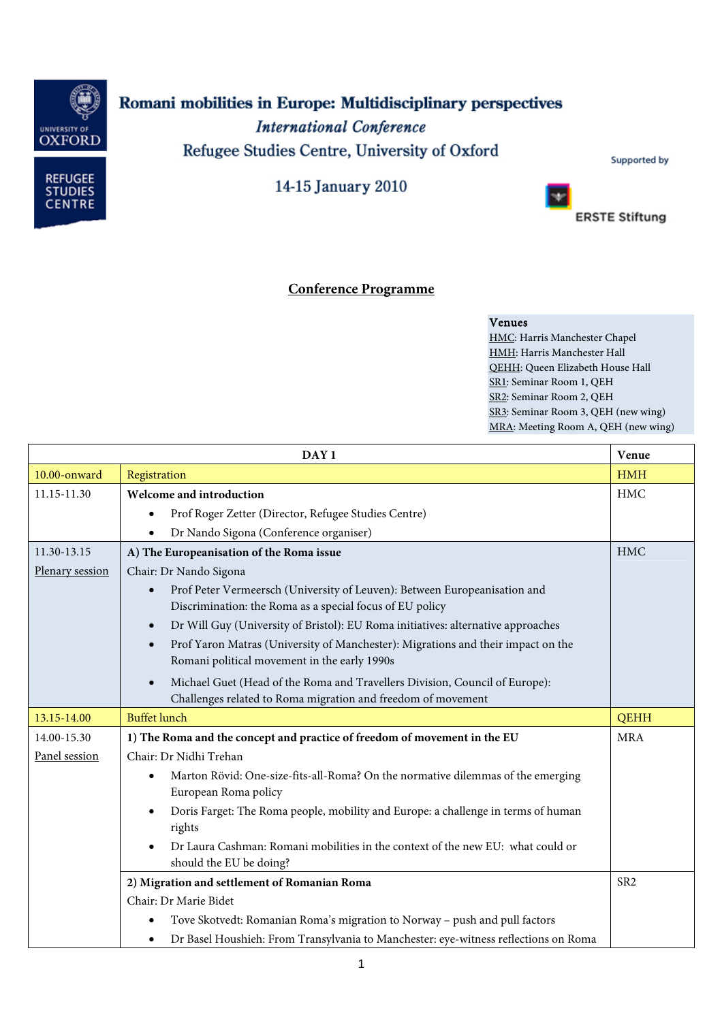

## Romani mobilities in Europe: Multidisciplinary perspectives

**International Conference** Refugee Studies Centre, University of Oxford



14-15 January 2010



**ERSTE Stiftung** 

## **Conference Programme**

## Venues

HMC: Harris Manchester Chapel HMH: Harris Manchester Hall QEHH: Queen Elizabeth House Hall SR1: Seminar Room 1, QEH SR2: Seminar Room 2, QEH SR3: Seminar Room 3, QEH (new wing) MRA: Meeting Room A, QEH (new wing)

| DAY <sub>1</sub> |                                                                                                                                             | Venue           |
|------------------|---------------------------------------------------------------------------------------------------------------------------------------------|-----------------|
| 10.00-onward     | Registration                                                                                                                                | <b>HMH</b>      |
| 11.15-11.30      | Welcome and introduction                                                                                                                    | <b>HMC</b>      |
|                  | Prof Roger Zetter (Director, Refugee Studies Centre)<br>$\bullet$                                                                           |                 |
|                  | Dr Nando Sigona (Conference organiser)                                                                                                      |                 |
| 11.30-13.15      | A) The Europeanisation of the Roma issue                                                                                                    | <b>HMC</b>      |
| Plenary session  | Chair: Dr Nando Sigona                                                                                                                      |                 |
|                  | Prof Peter Vermeersch (University of Leuven): Between Europeanisation and<br>Discrimination: the Roma as a special focus of EU policy       |                 |
|                  | Dr Will Guy (University of Bristol): EU Roma initiatives: alternative approaches                                                            |                 |
|                  | Prof Yaron Matras (University of Manchester): Migrations and their impact on the<br>Romani political movement in the early 1990s            |                 |
|                  | Michael Guet (Head of the Roma and Travellers Division, Council of Europe):<br>Challenges related to Roma migration and freedom of movement |                 |
| 13.15-14.00      | <b>Buffet lunch</b>                                                                                                                         | <b>QEHH</b>     |
| 14.00-15.30      | 1) The Roma and the concept and practice of freedom of movement in the EU                                                                   | <b>MRA</b>      |
| Panel session    | Chair: Dr Nidhi Trehan                                                                                                                      |                 |
|                  | Marton Rövid: One-size-fits-all-Roma? On the normative dilemmas of the emerging<br>European Roma policy                                     |                 |
|                  | Doris Farget: The Roma people, mobility and Europe: a challenge in terms of human<br>rights                                                 |                 |
|                  | Dr Laura Cashman: Romani mobilities in the context of the new EU: what could or<br>should the EU be doing?                                  |                 |
|                  | 2) Migration and settlement of Romanian Roma                                                                                                | SR <sub>2</sub> |
|                  | Chair: Dr Marie Bidet                                                                                                                       |                 |
|                  | Tove Skotvedt: Romanian Roma's migration to Norway - push and pull factors                                                                  |                 |
|                  | Dr Basel Houshieh: From Transylvania to Manchester: eye-witness reflections on Roma                                                         |                 |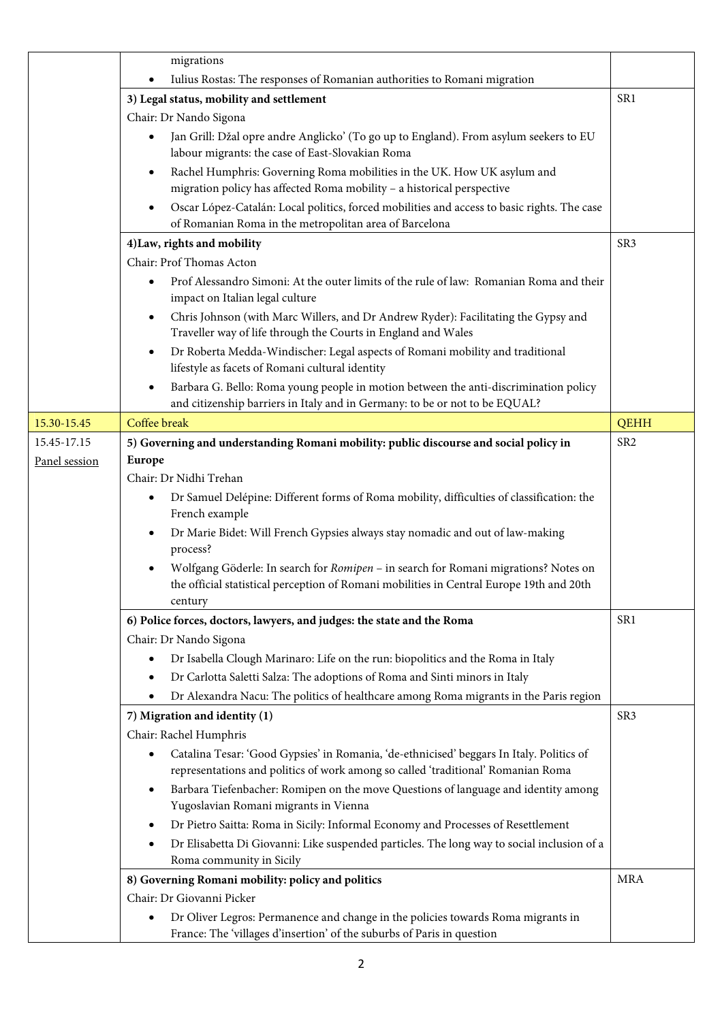|               | migrations                                                                                                                                                          |                 |
|---------------|---------------------------------------------------------------------------------------------------------------------------------------------------------------------|-----------------|
|               | Iulius Rostas: The responses of Romanian authorities to Romani migration                                                                                            |                 |
|               | 3) Legal status, mobility and settlement                                                                                                                            | SR <sub>1</sub> |
|               | Chair: Dr Nando Sigona                                                                                                                                              |                 |
|               | Jan Grill: Džal opre andre Anglicko' (To go up to England). From asylum seekers to EU<br>labour migrants: the case of East-Slovakian Roma                           |                 |
|               | Rachel Humphris: Governing Roma mobilities in the UK. How UK asylum and<br>$\bullet$                                                                                |                 |
|               | migration policy has affected Roma mobility - a historical perspective                                                                                              |                 |
|               | Oscar López-Catalán: Local politics, forced mobilities and access to basic rights. The case<br>٠<br>of Romanian Roma in the metropolitan area of Barcelona          |                 |
|               | 4) Law, rights and mobility                                                                                                                                         | SR <sub>3</sub> |
|               | Chair: Prof Thomas Acton                                                                                                                                            |                 |
|               | Prof Alessandro Simoni: At the outer limits of the rule of law: Romanian Roma and their<br>٠<br>impact on Italian legal culture                                     |                 |
|               | Chris Johnson (with Marc Willers, and Dr Andrew Ryder): Facilitating the Gypsy and<br>٠<br>Traveller way of life through the Courts in England and Wales            |                 |
|               | Dr Roberta Medda-Windischer: Legal aspects of Romani mobility and traditional<br>$\bullet$<br>lifestyle as facets of Romani cultural identity                       |                 |
|               | Barbara G. Bello: Roma young people in motion between the anti-discrimination policy<br>and citizenship barriers in Italy and in Germany: to be or not to be EQUAL? |                 |
| 15.30-15.45   | Coffee break                                                                                                                                                        | <b>QEHH</b>     |
| 15.45-17.15   | 5) Governing and understanding Romani mobility: public discourse and social policy in                                                                               | SR <sub>2</sub> |
| Panel session | <b>Europe</b>                                                                                                                                                       |                 |
|               | Chair: Dr Nidhi Trehan                                                                                                                                              |                 |
|               | Dr Samuel Delépine: Different forms of Roma mobility, difficulties of classification: the<br>٠<br>French example                                                    |                 |
|               | Dr Marie Bidet: Will French Gypsies always stay nomadic and out of law-making<br>process?                                                                           |                 |
|               | Wolfgang Göderle: In search for Romipen - in search for Romani migrations? Notes on                                                                                 |                 |
|               | the official statistical perception of Romani mobilities in Central Europe 19th and 20th                                                                            |                 |
|               | century                                                                                                                                                             |                 |
|               | 6) Police forces, doctors, lawyers, and judges: the state and the Roma                                                                                              | SR <sub>1</sub> |
|               | Chair: Dr Nando Sigona                                                                                                                                              |                 |
|               | Dr Isabella Clough Marinaro: Life on the run: biopolitics and the Roma in Italy<br>٠                                                                                |                 |
|               | Dr Carlotta Saletti Salza: The adoptions of Roma and Sinti minors in Italy                                                                                          |                 |
|               | Dr Alexandra Nacu: The politics of healthcare among Roma migrants in the Paris region                                                                               |                 |
|               | 7) Migration and identity (1)                                                                                                                                       | SR <sub>3</sub> |
|               | Chair: Rachel Humphris                                                                                                                                              |                 |
|               | Catalina Tesar: 'Good Gypsies' in Romania, 'de-ethnicised' beggars In Italy. Politics of<br>٠                                                                       |                 |
|               | representations and politics of work among so called 'traditional' Romanian Roma                                                                                    |                 |
|               | Barbara Tiefenbacher: Romipen on the move Questions of language and identity among<br>٠                                                                             |                 |
|               | Yugoslavian Romani migrants in Vienna                                                                                                                               |                 |
|               | Dr Pietro Saitta: Roma in Sicily: Informal Economy and Processes of Resettlement<br>٠                                                                               |                 |
|               | Dr Elisabetta Di Giovanni: Like suspended particles. The long way to social inclusion of a                                                                          |                 |
|               | Roma community in Sicily                                                                                                                                            |                 |
|               | 8) Governing Romani mobility: policy and politics                                                                                                                   | <b>MRA</b>      |
|               | Chair: Dr Giovanni Picker                                                                                                                                           |                 |
|               | Dr Oliver Legros: Permanence and change in the policies towards Roma migrants in<br>٠<br>France: The 'villages d'insertion' of the suburbs of Paris in question     |                 |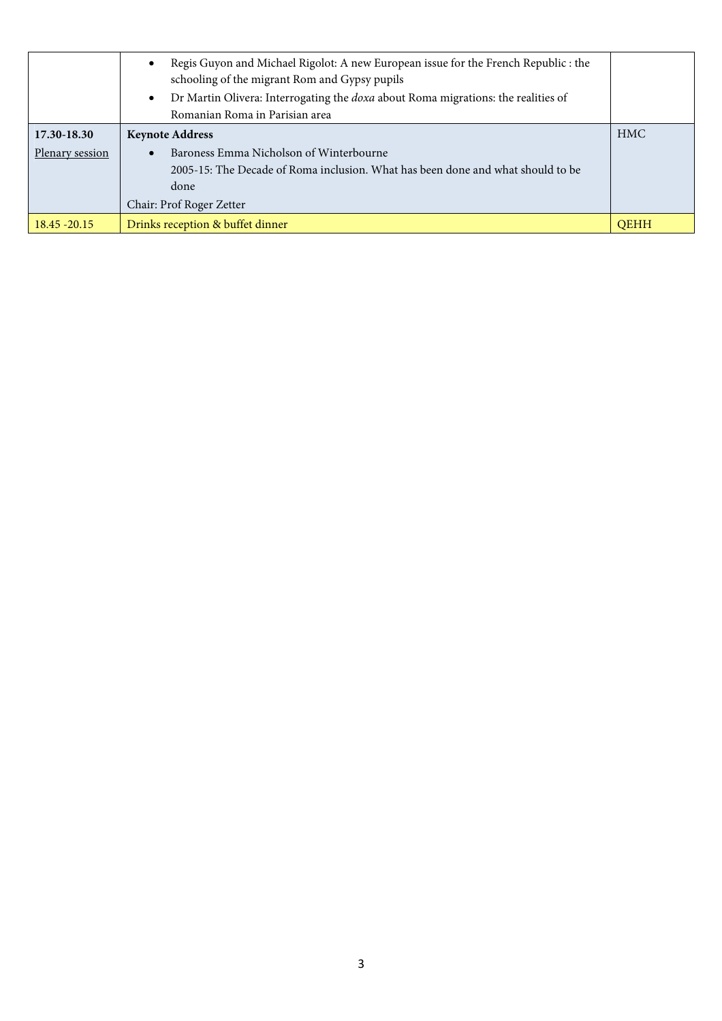|                 | Regis Guyon and Michael Rigolot: A new European issue for the French Republic : the<br>schooling of the migrant Rom and Gypsy pupils<br>Dr Martin Olivera: Interrogating the doxa about Roma migrations: the realities of<br>Romanian Roma in Parisian area |             |
|-----------------|-------------------------------------------------------------------------------------------------------------------------------------------------------------------------------------------------------------------------------------------------------------|-------------|
| 17.30-18.30     | <b>Keynote Address</b>                                                                                                                                                                                                                                      | <b>HMC</b>  |
| Plenary session | Baroness Emma Nicholson of Winterbourne<br>2005-15: The Decade of Roma inclusion. What has been done and what should to be<br>done<br>Chair: Prof Roger Zetter                                                                                              |             |
| $18.45 - 20.15$ | Drinks reception & buffet dinner                                                                                                                                                                                                                            | <b>OEHH</b> |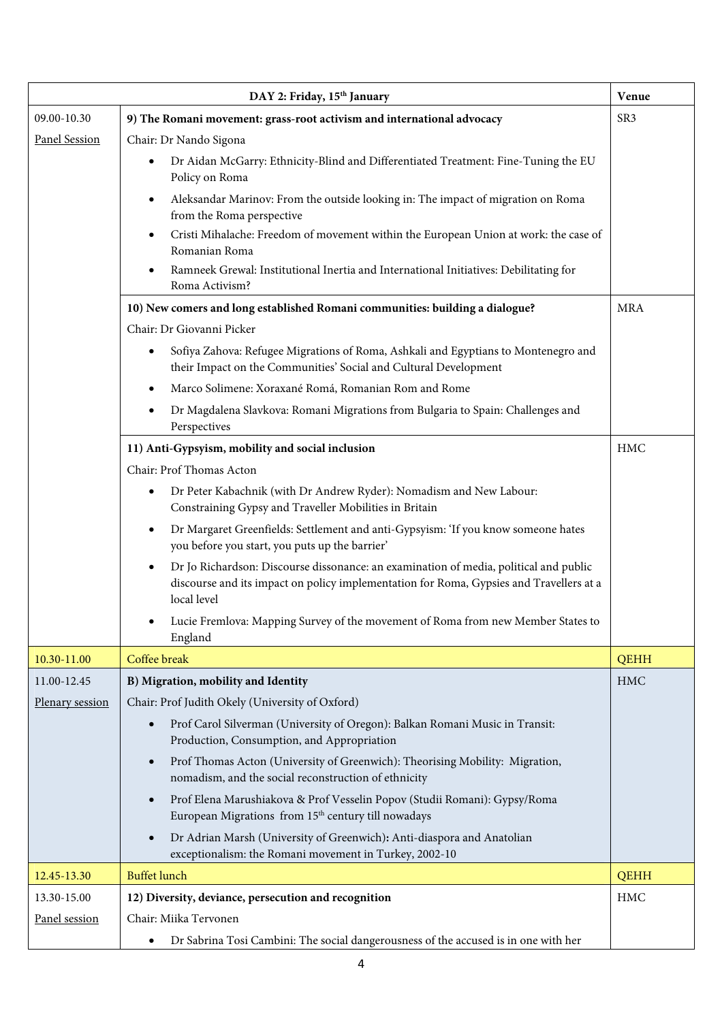|                      | DAY 2: Friday, 15th January                                                                                                                                                                     | Venue       |
|----------------------|-------------------------------------------------------------------------------------------------------------------------------------------------------------------------------------------------|-------------|
| 09.00-10.30          | 9) The Romani movement: grass-root activism and international advocacy                                                                                                                          | SR3         |
| <b>Panel Session</b> | Chair: Dr Nando Sigona                                                                                                                                                                          |             |
|                      | Dr Aidan McGarry: Ethnicity-Blind and Differentiated Treatment: Fine-Tuning the EU<br>Policy on Roma                                                                                            |             |
|                      | Aleksandar Marinov: From the outside looking in: The impact of migration on Roma<br>from the Roma perspective                                                                                   |             |
|                      | Cristi Mihalache: Freedom of movement within the European Union at work: the case of<br>Romanian Roma                                                                                           |             |
|                      | Ramneek Grewal: Institutional Inertia and International Initiatives: Debilitating for<br>Roma Activism?                                                                                         |             |
|                      | 10) New comers and long established Romani communities: building a dialogue?                                                                                                                    | <b>MRA</b>  |
|                      | Chair: Dr Giovanni Picker                                                                                                                                                                       |             |
|                      | Sofiya Zahova: Refugee Migrations of Roma, Ashkali and Egyptians to Montenegro and<br>٠<br>their Impact on the Communities' Social and Cultural Development                                     |             |
|                      | Marco Solimene: Xoraxané Romá, Romanian Rom and Rome                                                                                                                                            |             |
|                      | Dr Magdalena Slavkova: Romani Migrations from Bulgaria to Spain: Challenges and<br>Perspectives                                                                                                 |             |
|                      | 11) Anti-Gypsyism, mobility and social inclusion                                                                                                                                                | <b>HMC</b>  |
|                      | Chair: Prof Thomas Acton                                                                                                                                                                        |             |
|                      | Dr Peter Kabachnik (with Dr Andrew Ryder): Nomadism and New Labour:<br>$\bullet$<br>Constraining Gypsy and Traveller Mobilities in Britain                                                      |             |
|                      | Dr Margaret Greenfields: Settlement and anti-Gypsyism: 'If you know someone hates<br>you before you start, you puts up the barrier'                                                             |             |
|                      | Dr Jo Richardson: Discourse dissonance: an examination of media, political and public<br>discourse and its impact on policy implementation for Roma, Gypsies and Travellers at a<br>local level |             |
|                      | Lucie Fremlova: Mapping Survey of the movement of Roma from new Member States to<br>England                                                                                                     |             |
| 10.30-11.00          | Coffee break                                                                                                                                                                                    | <b>QEHH</b> |
| 11.00-12.45          | B) Migration, mobility and Identity                                                                                                                                                             | <b>HMC</b>  |
| Plenary session      | Chair: Prof Judith Okely (University of Oxford)                                                                                                                                                 |             |
|                      | Prof Carol Silverman (University of Oregon): Balkan Romani Music in Transit:<br>Production, Consumption, and Appropriation                                                                      |             |
|                      | Prof Thomas Acton (University of Greenwich): Theorising Mobility: Migration,<br>nomadism, and the social reconstruction of ethnicity                                                            |             |
|                      | Prof Elena Marushiakova & Prof Vesselin Popov (Studii Romani): Gypsy/Roma<br>European Migrations from 15 <sup>th</sup> century till nowadays                                                    |             |
|                      | Dr Adrian Marsh (University of Greenwich): Anti-diaspora and Anatolian<br>exceptionalism: the Romani movement in Turkey, 2002-10                                                                |             |
| 12.45-13.30          | <b>Buffet lunch</b>                                                                                                                                                                             | <b>QEHH</b> |
| 13.30-15.00          | 12) Diversity, deviance, persecution and recognition                                                                                                                                            | <b>HMC</b>  |
| Panel session        | Chair: Miika Tervonen                                                                                                                                                                           |             |
|                      | Dr Sabrina Tosi Cambini: The social dangerousness of the accused is in one with her                                                                                                             |             |